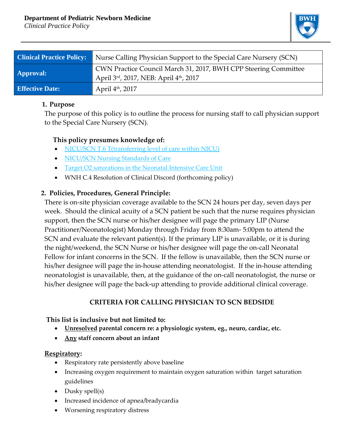#### **Department of Pediatric Newborn Medicine**

*Clinical Practice Policy*



| <b>Clinical Practice Policy:</b> | Nurse Calling Physician Support to the Special Care Nursery (SCN)                                        |
|----------------------------------|----------------------------------------------------------------------------------------------------------|
| <b>Approval:</b>                 | CWN Practice Council March 31, 2017, BWH CPP Steering Committee<br>April 3rd, 2017, NEB: April 4th, 2017 |
| <b>Effective Date:</b>           | April 4 <sup>th</sup> , 2017                                                                             |

#### **1. Purpose**

The purpose of this policy is to outline the process for nursing staff to call physician support to the Special Care Nursery (SCN).

# **This policy presumes knowledge of:**

- NICU/SCN [T.6 T\(transferring level of care within NICU\)](https://hospitalpolicies.ellucid.com/documents/view/3233/3317/)
- NICU/SCN [Nursing Standards of Care](http://www.bwhpikenotes.org/policies/Nursing/CWN_Clinical_Practice_Manual/NICU/NICU_Standards.pdf)
- [Target O2 saturations in the Neonatal Intensive Care Unit](file://Cifs2/homedir$/Special%20Care%20Nursery/CPP%20Calling%20Back-Up%20MD%20Support%20SCN.docx)
- WNH C.4 Resolution of Clinical Discord (forthcoming policy)

# **2. Policies, Procedures, General Principle:**

 There is on-site physician coverage available to the SCN 24 hours per day, seven days per week. Should the clinical acuity of a SCN patient be such that the nurse requires physician support, then the SCN nurse or his/her designee will page the primary LIP (Nurse Practitioner/Neonatologist) Monday through Friday from 8:30am- 5:00pm to attend the SCN and evaluate the relevant patient(s). If the primary LIP is unavailable, or it is during the night/weekend, the SCN Nurse or his/her designee will page the on-call Neonatal Fellow for infant concerns in the SCN. If the fellow is unavailable, then the SCN nurse or his/her designee will page the in-house attending neonatologist. If the in-house attending neonatologist is unavailable, then, at the guidance of the on-call neonatologist, the nurse or his/her designee will page the back-up attending to provide additional clinical coverage.

### **CRITERIA FOR CALLING PHYSICIAN TO SCN BEDSIDE**

### **This list is inclusive but not limited to:**

- **Unresolved parental concern re: a physiologic system, eg., neuro, cardiac, etc.**
- **Any staff concern about an infant**

### **Respiratory:**

- Respiratory rate persistently above baseline
- Increasing oxygen requirement to maintain oxygen saturation within target saturation guidelines
- Dusky spell(s)
- Increased incidence of apnea/bradycardia
- Worsening respiratory distress